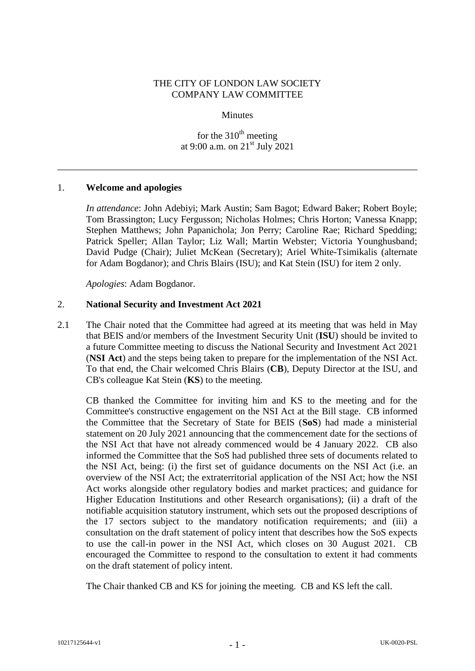### THE CITY OF LONDON LAW SOCIETY COMPANY LAW COMMITTEE

#### Minutes

for the  $310<sup>th</sup>$  meeting at 9:00 a.m. on 21<sup>st</sup> July 2021

### 1. **Welcome and apologies**

*In attendance*: John Adebiyi; Mark Austin; Sam Bagot; Edward Baker; Robert Boyle; Tom Brassington; Lucy Fergusson; Nicholas Holmes; Chris Horton; Vanessa Knapp; Stephen Matthews; John Papanichola; Jon Perry; Caroline Rae; Richard Spedding; Patrick Speller; Allan Taylor; Liz Wall; Martin Webster; Victoria Younghusband; David Pudge (Chair); Juliet McKean (Secretary); Ariel White-Tsimikalis (alternate for Adam Bogdanor); and Chris Blairs (ISU); and Kat Stein (ISU) for item 2 only.

*Apologies*: Adam Bogdanor.

### 2. **National Security and Investment Act 2021**

2.1 The Chair noted that the Committee had agreed at its meeting that was held in May that BEIS and/or members of the Investment Security Unit (**ISU**) should be invited to a future Committee meeting to discuss the National Security and Investment Act 2021 (**NSI Act**) and the steps being taken to prepare for the implementation of the NSI Act. To that end, the Chair welcomed Chris Blairs (**CB**), Deputy Director at the ISU, and CB's colleague Kat Stein (**KS**) to the meeting.

CB thanked the Committee for inviting him and KS to the meeting and for the Committee's constructive engagement on the NSI Act at the Bill stage. CB informed the Committee that the Secretary of State for BEIS (**SoS**) had made a ministerial statement on 20 July 2021 announcing that the commencement date for the sections of the NSI Act that have not already commenced would be 4 January 2022. CB also informed the Committee that the SoS had published three sets of documents related to the NSI Act, being: (i) the first set of guidance documents on the NSI Act (i.e. an overview of the NSI Act; the extraterritorial application of the NSI Act; how the NSI Act works alongside other regulatory bodies and market practices; and guidance for Higher Education Institutions and other Research organisations); (ii) a draft of the notifiable acquisition statutory instrument, which sets out the proposed descriptions of the 17 sectors subject to the mandatory notification requirements; and (iii) a consultation on the draft statement of policy intent that describes how the SoS expects to use the call-in power in the NSI Act, which closes on 30 August 2021. CB encouraged the Committee to respond to the consultation to extent it had comments on the draft statement of policy intent.

The Chair thanked CB and KS for joining the meeting. CB and KS left the call.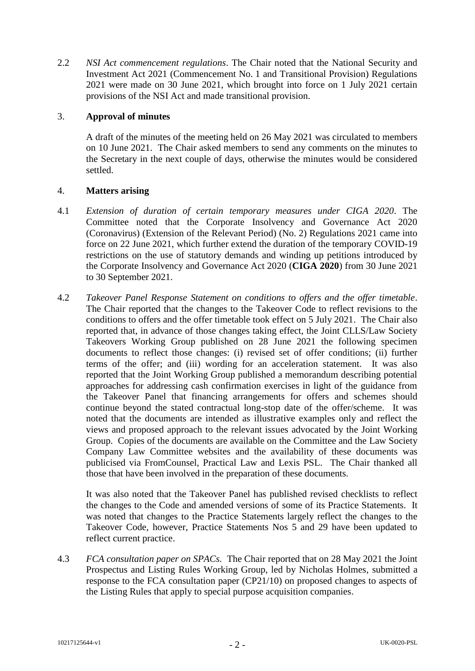2.2 *NSI Act commencement regulations*. The Chair noted that the National Security and Investment Act 2021 (Commencement No. 1 and Transitional Provision) Regulations 2021 were made on 30 June 2021, which brought into force on 1 July 2021 certain provisions of the NSI Act and made transitional provision.

# 3. **Approval of minutes**

A draft of the minutes of the meeting held on 26 May 2021 was circulated to members on 10 June 2021. The Chair asked members to send any comments on the minutes to the Secretary in the next couple of days, otherwise the minutes would be considered settled.

### 4. **Matters arising**

- 4.1 *Extension of duration of certain temporary measures under CIGA 2020*. The Committee noted that the Corporate Insolvency and Governance Act 2020 (Coronavirus) (Extension of the Relevant Period) (No. 2) Regulations 2021 came into force on 22 June 2021, which further extend the duration of the temporary COVID-19 restrictions on the use of statutory demands and winding up petitions introduced by the Corporate Insolvency and Governance Act 2020 (**CIGA 2020**) from 30 June 2021 to 30 September 2021.
- 4.2 *Takeover Panel Response Statement on conditions to offers and the offer timetable*. The Chair reported that the changes to the Takeover Code to reflect revisions to the conditions to offers and the offer timetable took effect on 5 July 2021. The Chair also reported that, in advance of those changes taking effect, the Joint CLLS/Law Society Takeovers Working Group published on 28 June 2021 the following specimen documents to reflect those changes: (i) revised set of offer conditions; (ii) further terms of the offer; and (iii) wording for an acceleration statement. It was also reported that the Joint Working Group published a memorandum describing potential approaches for addressing cash confirmation exercises in light of the guidance from the Takeover Panel that financing arrangements for offers and schemes should continue beyond the stated contractual long-stop date of the offer/scheme. It was noted that the documents are intended as illustrative examples only and reflect the views and proposed approach to the relevant issues advocated by the Joint Working Group. Copies of the documents are available on the Committee and the Law Society Company Law Committee websites and the availability of these documents was publicised via FromCounsel, Practical Law and Lexis PSL. The Chair thanked all those that have been involved in the preparation of these documents.

It was also noted that the Takeover Panel has published revised checklists to reflect the changes to the Code and amended versions of some of its Practice Statements. It was noted that changes to the Practice Statements largely reflect the changes to the Takeover Code, however, Practice Statements Nos 5 and 29 have been updated to reflect current practice.

4.3 *FCA consultation paper on SPACs.* The Chair reported that on 28 May 2021 the Joint Prospectus and Listing Rules Working Group, led by Nicholas Holmes, submitted a response to the FCA consultation paper (CP21/10) on proposed changes to aspects of the Listing Rules that apply to special purpose acquisition companies.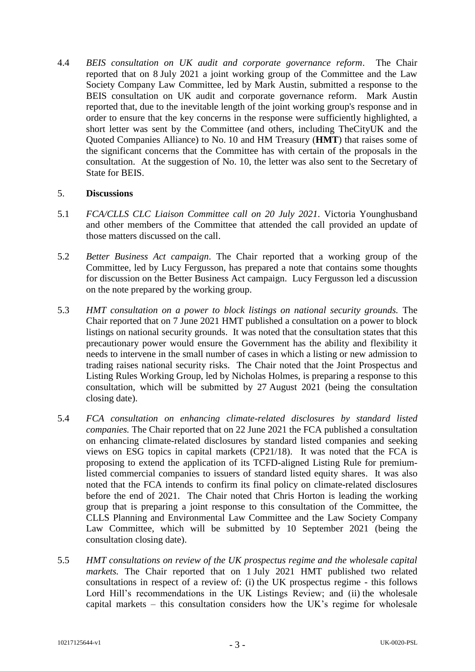4.4 *BEIS consultation on UK audit and corporate governance reform*. The Chair reported that on 8 July 2021 a joint working group of the Committee and the Law Society Company Law Committee, led by Mark Austin, submitted a response to the BEIS consultation on UK audit and corporate governance reform. Mark Austin reported that, due to the inevitable length of the joint working group's response and in order to ensure that the key concerns in the response were sufficiently highlighted, a short letter was sent by the Committee (and others, including TheCityUK and the Quoted Companies Alliance) to No. 10 and HM Treasury (**HMT**) that raises some of the significant concerns that the Committee has with certain of the proposals in the consultation. At the suggestion of No. 10, the letter was also sent to the Secretary of State for BEIS.

### 5. **Discussions**

- 5.1 *FCA/CLLS CLC Liaison Committee call on 20 July 2021*. Victoria Younghusband and other members of the Committee that attended the call provided an update of those matters discussed on the call.
- 5.2 *Better Business Act campaign*. The Chair reported that a working group of the Committee, led by Lucy Fergusson, has prepared a note that contains some thoughts for discussion on the Better Business Act campaign. Lucy Fergusson led a discussion on the note prepared by the working group.
- 5.3 *HMT consultation on a power to block listings on national security grounds.* The Chair reported that on 7 June 2021 HMT published a consultation on a power to block listings on national security grounds. It was noted that the consultation states that this precautionary power would ensure the Government has the ability and flexibility it needs to intervene in the small number of cases in which a listing or new admission to trading raises national security risks. The Chair noted that the Joint Prospectus and Listing Rules Working Group, led by Nicholas Holmes, is preparing a response to this consultation, which will be submitted by 27 August 2021 (being the consultation closing date).
- 5.4 *FCA consultation on enhancing climate-related disclosures by standard listed companies.* The Chair reported that on 22 June 2021 the FCA published a consultation on enhancing climate-related disclosures by standard listed companies and seeking views on ESG topics in capital markets (CP21/18). It was noted that the FCA is proposing to extend the application of its TCFD-aligned Listing Rule for premiumlisted commercial companies to issuers of standard listed equity shares. It was also noted that the FCA intends to confirm its final policy on climate-related disclosures before the end of 2021. The Chair noted that Chris Horton is leading the working group that is preparing a joint response to this consultation of the Committee, the CLLS Planning and Environmental Law Committee and the Law Society Company Law Committee, which will be submitted by 10 September 2021 (being the consultation closing date).
- 5.5 *HMT consultations on review of the UK prospectus regime and the wholesale capital markets.* The Chair reported that on 1 July 2021 HMT published two related consultations in respect of a review of: (i) the UK prospectus regime - this follows Lord Hill's recommendations in the UK Listings Review; and (ii) the wholesale capital markets – this consultation considers how the UK's regime for wholesale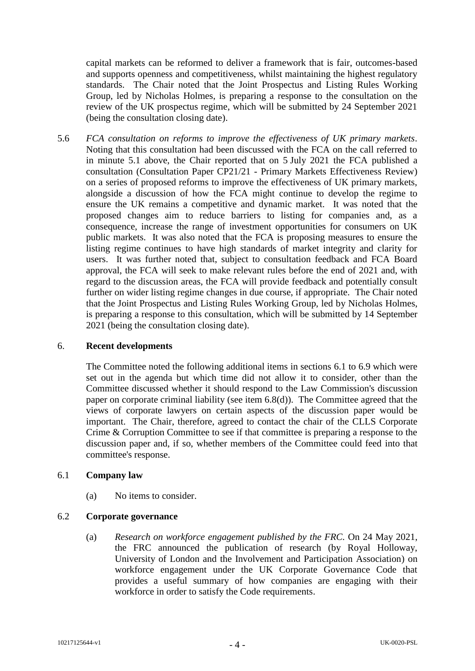capital markets can be reformed to deliver a framework that is fair, outcomes-based and supports openness and competitiveness, whilst maintaining the highest regulatory standards. The Chair noted that the Joint Prospectus and Listing Rules Working Group, led by Nicholas Holmes, is preparing a response to the consultation on the review of the UK prospectus regime, which will be submitted by 24 September 2021 (being the consultation closing date).

5.6 *FCA consultation on reforms to improve the effectiveness of UK primary markets*. Noting that this consultation had been discussed with the FCA on the call referred to in minute 5.1 above, the Chair reported that on 5 July 2021 the FCA published a consultation (Consultation Paper CP21/21 - Primary Markets Effectiveness Review) on a series of proposed reforms to improve the effectiveness of UK primary markets, alongside a discussion of how the FCA might continue to develop the regime to ensure the UK remains a competitive and dynamic market. It was noted that the proposed changes aim to reduce barriers to listing for companies and, as a consequence, increase the range of investment opportunities for consumers on UK public markets. It was also noted that the FCA is proposing measures to ensure the listing regime continues to have high standards of market integrity and clarity for users. It was further noted that, subject to consultation feedback and FCA Board approval, the FCA will seek to make relevant rules before the end of 2021 and, with regard to the discussion areas, the FCA will provide feedback and potentially consult further on wider listing regime changes in due course, if appropriate. The Chair noted that the Joint Prospectus and Listing Rules Working Group, led by Nicholas Holmes, is preparing a response to this consultation, which will be submitted by 14 September 2021 (being the consultation closing date).

### 6. **Recent developments**

The Committee noted the following additional items in sections 6.1 to 6.9 which were set out in the agenda but which time did not allow it to consider, other than the Committee discussed whether it should respond to the Law Commission's discussion paper on corporate criminal liability (see item 6.8(d)). The Committee agreed that the views of corporate lawyers on certain aspects of the discussion paper would be important. The Chair, therefore, agreed to contact the chair of the CLLS Corporate Crime & Corruption Committee to see if that committee is preparing a response to the discussion paper and, if so, whether members of the Committee could feed into that committee's response.

# 6.1 **Company law**

(a) No items to consider.

# 6.2 **Corporate governance**

(a) *Research on workforce engagement published by the FRC.* On 24 May 2021, the FRC announced the publication of research (by Royal Holloway, University of London and the Involvement and Participation Association) on workforce engagement under the UK Corporate Governance Code that provides a useful summary of how companies are engaging with their workforce in order to satisfy the Code requirements.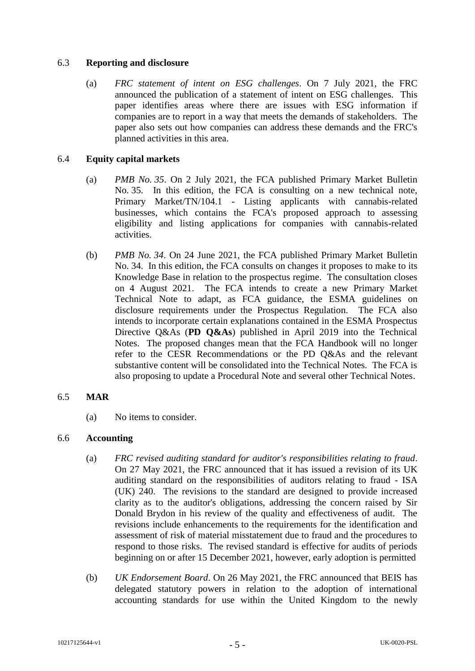### 6.3 **Reporting and disclosure**

(a) *FRC statement of intent on ESG challenges*. On 7 July 2021, the FRC announced the publication of a statement of intent on ESG challenges. This paper identifies areas where there are issues with ESG information if companies are to report in a way that meets the demands of stakeholders. The paper also sets out how companies can address these demands and the FRC's planned activities in this area.

### 6.4 **Equity capital markets**

- (a) *PMB No. 35*. On 2 July 2021, the FCA published Primary Market Bulletin No. 35. In this edition, the FCA is consulting on a new technical note, Primary Market/TN/104.1 - Listing applicants with cannabis-related businesses, which contains the FCA's proposed approach to assessing eligibility and listing applications for companies with cannabis-related activities.
- (b) *PMB No. 34*. On 24 June 2021, the FCA published Primary Market Bulletin No. 34. In this edition, the FCA consults on changes it proposes to make to its Knowledge Base in relation to the prospectus regime. The consultation closes on 4 August 2021. The FCA intends to create a new Primary Market Technical Note to adapt, as FCA guidance, the ESMA guidelines on disclosure requirements under the Prospectus Regulation. The FCA also intends to incorporate certain explanations contained in the ESMA Prospectus Directive Q&As (**PD Q&As**) published in April 2019 into the Technical Notes. The proposed changes mean that the FCA Handbook will no longer refer to the CESR Recommendations or the PD Q&As and the relevant substantive content will be consolidated into the Technical Notes. The FCA is also proposing to update a Procedural Note and several other Technical Notes.

### 6.5 **MAR**

(a) No items to consider.

# 6.6 **Accounting**

- (a) *FRC revised auditing standard for auditor's responsibilities relating to fraud*. On 27 May 2021, the FRC announced that it has issued a revision of its UK auditing standard on the responsibilities of auditors relating to fraud - ISA (UK) 240. The revisions to the standard are designed to provide increased clarity as to the auditor's obligations, addressing the concern raised by Sir Donald Brydon in his review of the quality and effectiveness of audit. The revisions include enhancements to the requirements for the identification and assessment of risk of material misstatement due to fraud and the procedures to respond to those risks. The revised standard is effective for audits of periods beginning on or after 15 December 2021, however, early adoption is permitted
- (b) *UK Endorsement Board*. On 26 May 2021, the FRC announced that BEIS has delegated statutory powers in relation to the adoption of international accounting standards for use within the United Kingdom to the newly

- 5 -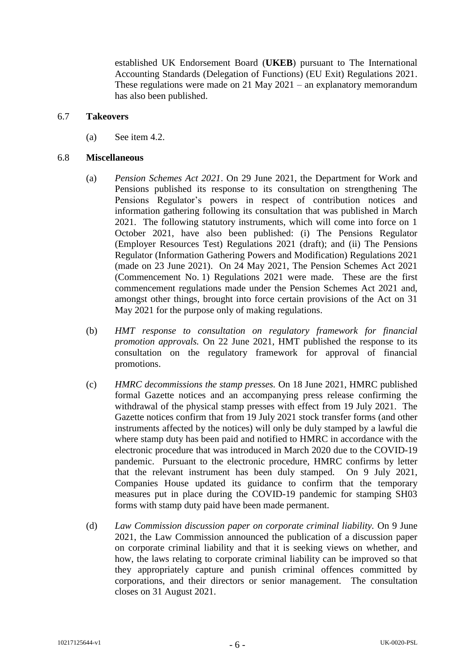established UK Endorsement Board (**UKEB**) pursuant to The International Accounting Standards (Delegation of Functions) (EU Exit) Regulations 2021. These regulations were made on 21 May 2021 – an explanatory memorandum has also been published.

#### 6.7 **Takeovers**

(a) See item 4.2.

#### 6.8 **Miscellaneous**

- (a) *Pension Schemes Act 2021*. On 29 June 2021, the Department for Work and Pensions published its response to its consultation on strengthening The Pensions Regulator's powers in respect of contribution notices and information gathering following its consultation that was published in March 2021. The following statutory instruments, which will come into force on 1 October 2021, have also been published: (i) The Pensions Regulator (Employer Resources Test) Regulations 2021 (draft); and (ii) The Pensions Regulator (Information Gathering Powers and Modification) Regulations 2021 (made on 23 June 2021). On 24 May 2021, The Pension Schemes Act 2021 (Commencement No. 1) Regulations 2021 were made. These are the first commencement regulations made under the Pension Schemes Act 2021 and, amongst other things, brought into force certain provisions of the Act on 31 May 2021 for the purpose only of making regulations.
- (b) *HMT response to consultation on regulatory framework for financial promotion approvals.* On 22 June 2021, HMT published the response to its consultation on the regulatory framework for approval of financial promotions.
- (c) *HMRC decommissions the stamp presses.* On 18 June 2021, HMRC published formal Gazette notices and an accompanying press release confirming the withdrawal of the physical stamp presses with effect from 19 July 2021. The Gazette notices confirm that from 19 July 2021 stock transfer forms (and other instruments affected by the notices) will only be duly stamped by a lawful die where stamp duty has been paid and notified to HMRC in accordance with the electronic procedure that was introduced in March 2020 due to the COVID-19 pandemic. Pursuant to the electronic procedure, HMRC confirms by letter that the relevant instrument has been duly stamped. On 9 July 2021, Companies House updated its guidance to confirm that the temporary measures put in place during the COVID-19 pandemic for stamping SH03 forms with stamp duty paid have been made permanent.
- (d) *Law Commission discussion paper on corporate criminal liability.* On 9 June 2021, the Law Commission announced the publication of a discussion paper on corporate criminal liability and that it is seeking views on whether, and how, the laws relating to corporate criminal liability can be improved so that they appropriately capture and punish criminal offences committed by corporations, and their directors or senior management. The consultation closes on 31 August 2021.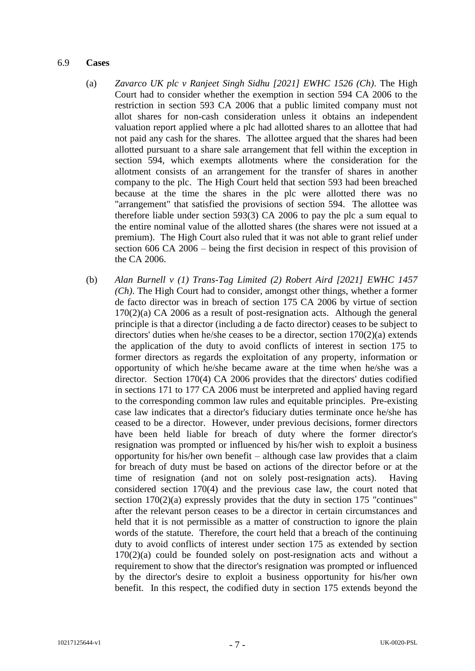### 6.9 **Cases**

- (a) *Zavarco UK plc v Ranjeet Singh Sidhu [2021] EWHC 1526 (Ch)*. The High Court had to consider whether the exemption in section 594 CA 2006 to the restriction in section 593 CA 2006 that a public limited company must not allot shares for non-cash consideration unless it obtains an independent valuation report applied where a plc had allotted shares to an allottee that had not paid any cash for the shares. The allottee argued that the shares had been allotted pursuant to a share sale arrangement that fell within the exception in section 594, which exempts allotments where the consideration for the allotment consists of an arrangement for the transfer of shares in another company to the plc. The High Court held that section 593 had been breached because at the time the shares in the plc were allotted there was no "arrangement" that satisfied the provisions of section 594. The allottee was therefore liable under section 593(3) CA 2006 to pay the plc a sum equal to the entire nominal value of the allotted shares (the shares were not issued at a premium). The High Court also ruled that it was not able to grant relief under section 606 CA 2006 – being the first decision in respect of this provision of the CA 2006.
- (b) *Alan Burnell v (1) Trans-Tag Limited (2) Robert Aird [2021] EWHC 1457 (Ch)*. The High Court had to consider, amongst other things, whether a former de facto director was in breach of section 175 CA 2006 by virtue of section 170(2)(a) CA 2006 as a result of post-resignation acts. Although the general principle is that a director (including a de facto director) ceases to be subject to directors' duties when he/she ceases to be a director, section 170(2)(a) extends the application of the duty to avoid conflicts of interest in section 175 to former directors as regards the exploitation of any property, information or opportunity of which he/she became aware at the time when he/she was a director. Section 170(4) CA 2006 provides that the directors' duties codified in sections 171 to 177 CA 2006 must be interpreted and applied having regard to the corresponding common law rules and equitable principles. Pre-existing case law indicates that a director's fiduciary duties terminate once he/she has ceased to be a director. However, under previous decisions, former directors have been held liable for breach of duty where the former director's resignation was prompted or influenced by his/her wish to exploit a business opportunity for his/her own benefit – although case law provides that a claim for breach of duty must be based on actions of the director before or at the time of resignation (and not on solely post-resignation acts). Having considered section 170(4) and the previous case law, the court noted that section 170(2)(a) expressly provides that the duty in section 175 "continues" after the relevant person ceases to be a director in certain circumstances and held that it is not permissible as a matter of construction to ignore the plain words of the statute. Therefore, the court held that a breach of the continuing duty to avoid conflicts of interest under section 175 as extended by section  $170(2)(a)$  could be founded solely on post-resignation acts and without a requirement to show that the director's resignation was prompted or influenced by the director's desire to exploit a business opportunity for his/her own benefit. In this respect, the codified duty in section 175 extends beyond the